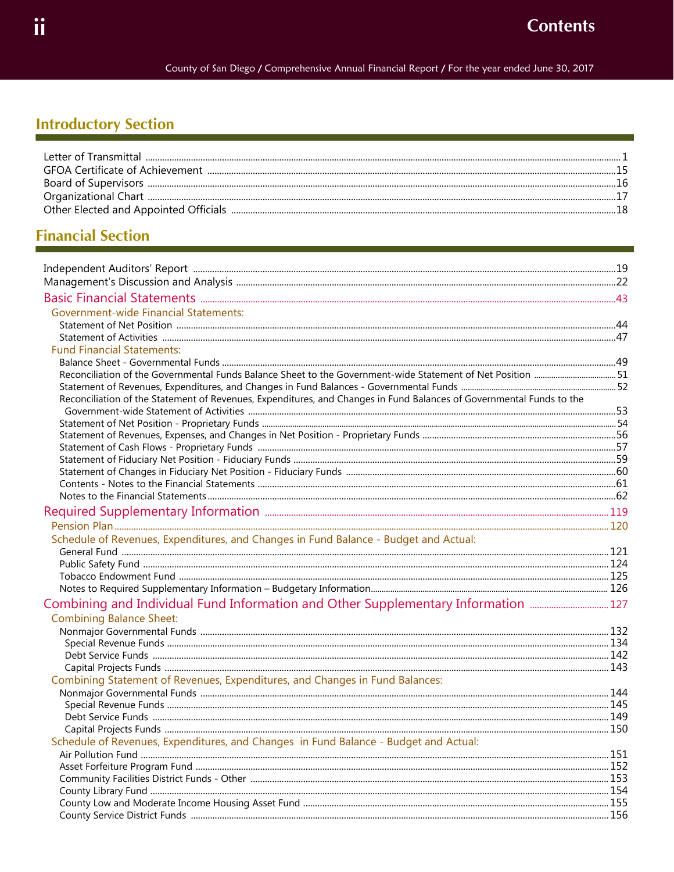## **Introductory Section**

## **Financial Section**

| <b>Government-wide Financial Statements:</b>                                                                         |  |
|----------------------------------------------------------------------------------------------------------------------|--|
|                                                                                                                      |  |
|                                                                                                                      |  |
| <b>Fund Financial Statements:</b>                                                                                    |  |
|                                                                                                                      |  |
|                                                                                                                      |  |
|                                                                                                                      |  |
| Reconciliation of the Statement of Revenues, Expenditures, and Changes in Fund Balances of Governmental Funds to the |  |
|                                                                                                                      |  |
|                                                                                                                      |  |
|                                                                                                                      |  |
|                                                                                                                      |  |
|                                                                                                                      |  |
|                                                                                                                      |  |
|                                                                                                                      |  |
|                                                                                                                      |  |
|                                                                                                                      |  |
|                                                                                                                      |  |
| Schedule of Revenues, Expenditures, and Changes in Fund Balance - Budget and Actual:                                 |  |
|                                                                                                                      |  |
|                                                                                                                      |  |
|                                                                                                                      |  |
|                                                                                                                      |  |
| Combining and Individual Fund Information and Other Supplementary Information                                        |  |
| <b>Combining Balance Sheet:</b>                                                                                      |  |
|                                                                                                                      |  |
|                                                                                                                      |  |
|                                                                                                                      |  |
|                                                                                                                      |  |
| Combining Statement of Revenues, Expenditures, and Changes in Fund Balances:                                         |  |
|                                                                                                                      |  |
|                                                                                                                      |  |
|                                                                                                                      |  |
| Schedule of Revenues, Expenditures, and Changes in Fund Balance - Budget and Actual:                                 |  |
|                                                                                                                      |  |
|                                                                                                                      |  |
|                                                                                                                      |  |
|                                                                                                                      |  |
|                                                                                                                      |  |
|                                                                                                                      |  |